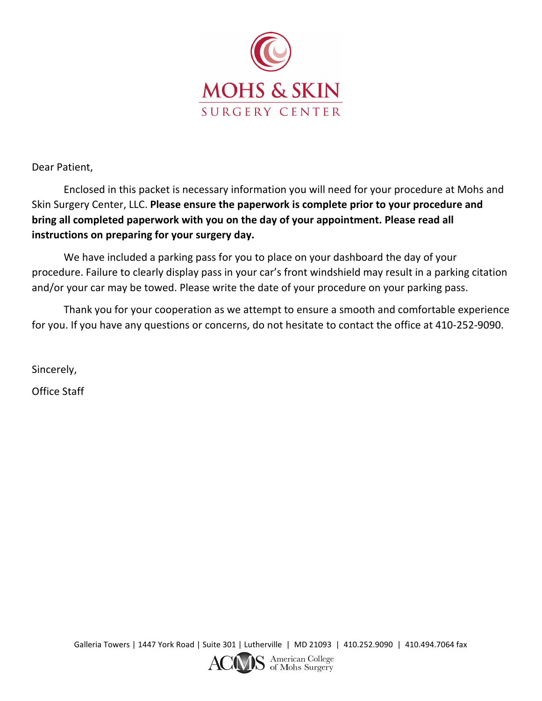

Dear Patient,

Enclosed in this packet is necessary information you will need for your procedure at Mohs and Skin Surgery Center, LLC. **Please ensure the paperwork is complete prior to your procedure and bring all completed paperwork with you on the day of your appointment. Please read all instructions on preparing for your surgery day.**

We have included a parking pass for you to place on your dashboard the day of your procedure. Failure to clearly display pass in your car's front windshield may result in a parking citation and/or your car may be towed. Please write the date of your procedure on your parking pass.

Thank you for your cooperation as we attempt to ensure a smooth and comfortable experience for you. If you have any questions or concerns, do not hesitate to contact the office at 410-252-9090.

Sincerely,

Office Staff

Galleria Towers | 1447 York Road | Suite 301 | Lutherville | MD 21093 | 410.252.9090 | 410.494.7064 fax

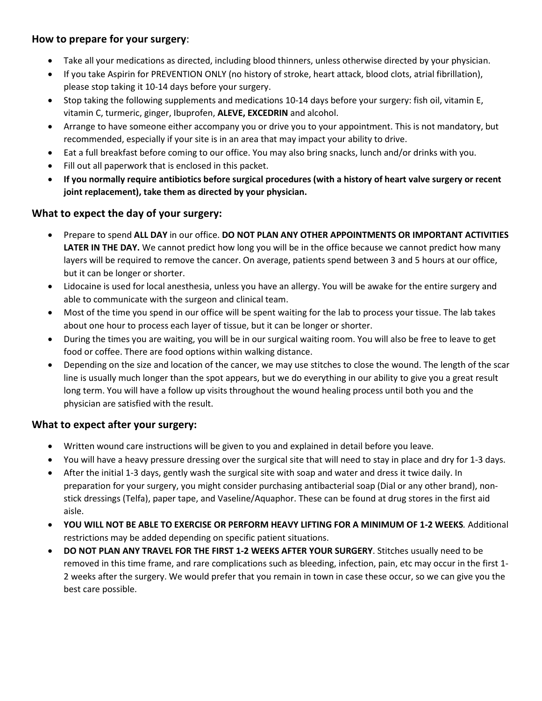# **How to prepare for your surgery**:

- Take all your medications as directed, including blood thinners, unless otherwise directed by your physician.
- If you take Aspirin for PREVENTION ONLY (no history of stroke, heart attack, blood clots, atrial fibrillation), please stop taking it 10-14 days before your surgery.
- Stop taking the following supplements and medications 10-14 days before your surgery: fish oil, vitamin E, vitamin C, turmeric, ginger, Ibuprofen, **ALEVE, EXCEDRIN** and alcohol.
- Arrange to have someone either accompany you or drive you to your appointment. This is not mandatory, but recommended, especially if your site is in an area that may impact your ability to drive.
- Eat a full breakfast before coming to our office. You may also bring snacks, lunch and/or drinks with you.
- Fill out all paperwork that is enclosed in this packet.
- **If you normally require antibiotics before surgical procedures (with a history of heart valve surgery or recent joint replacement), take them as directed by your physician.**

# **What to expect the day of your surgery:**

- Prepare to spend **ALL DAY** in our office. **DO NOT PLAN ANY OTHER APPOINTMENTS OR IMPORTANT ACTIVITIES** LATER IN THE DAY. We cannot predict how long you will be in the office because we cannot predict how many layers will be required to remove the cancer. On average, patients spend between 3 and 5 hours at our office, but it can be longer or shorter.
- Lidocaine is used for local anesthesia, unless you have an allergy. You will be awake for the entire surgery and able to communicate with the surgeon and clinical team.
- Most of the time you spend in our office will be spent waiting for the lab to process your tissue. The lab takes about one hour to process each layer of tissue, but it can be longer or shorter.
- During the times you are waiting, you will be in our surgical waiting room. You will also be free to leave to get food or coffee. There are food options within walking distance.
- Depending on the size and location of the cancer, we may use stitches to close the wound. The length of the scar line is usually much longer than the spot appears, but we do everything in our ability to give you a great result long term. You will have a follow up visits throughout the wound healing process until both you and the physician are satisfied with the result.

# **What to expect after your surgery:**

- Written wound care instructions will be given to you and explained in detail before you leave.
- You will have a heavy pressure dressing over the surgical site that will need to stay in place and dry for 1-3 days.
- After the initial 1-3 days, gently wash the surgical site with soap and water and dress it twice daily. In preparation for your surgery, you might consider purchasing antibacterial soap (Dial or any other brand), nonstick dressings (Telfa), paper tape, and Vaseline/Aquaphor. These can be found at drug stores in the first aid aisle.
- **YOU WILL NOT BE ABLE TO EXERCISE OR PERFORM HEAVY LIFTING FOR A MINIMUM OF 1-2 WEEKS***.* Additional restrictions may be added depending on specific patient situations.
- **DO NOT PLAN ANY TRAVEL FOR THE FIRST 1-2 WEEKS AFTER YOUR SURGERY**. Stitches usually need to be removed in this time frame, and rare complications such as bleeding, infection, pain, etc may occur in the first 1- 2 weeks after the surgery. We would prefer that you remain in town in case these occur, so we can give you the best care possible.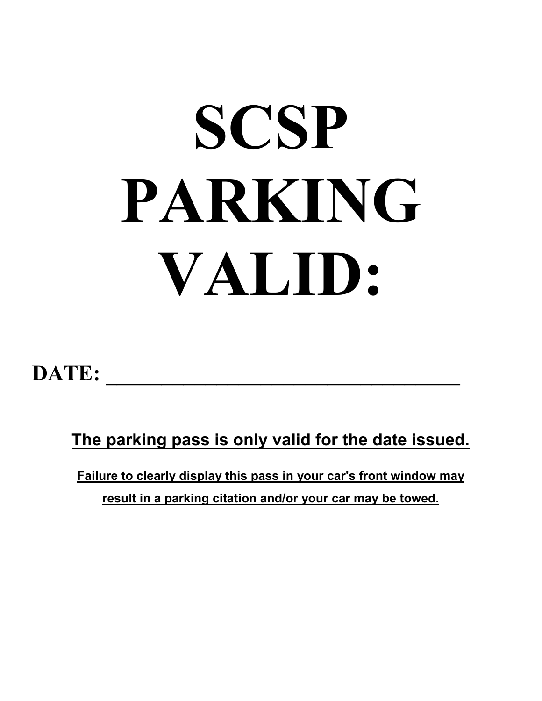# **SCSP PARKING VALID:**

# DATE:

**The parking pass is only valid for the date issued.**

**Failure to clearly display this pass in your car's front window may result in a parking citation and/or your car may be towed.**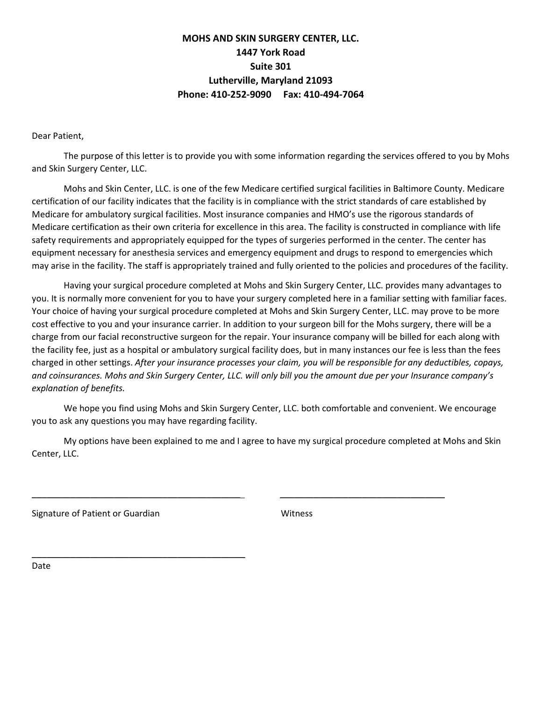# **MOHS AND SKIN SURGERY CENTER, LLC. 1447 York Road Suite 301 Lutherville, Maryland 21093 Phone: 410-252-9090 Fax: 410-494-7064**

Dear Patient,

The purpose of this letter is to provide you with some information regarding the services offered to you by Mohs and Skin Surgery Center, LLC.

Mohs and Skin Center, LLC. is one of the few Medicare certified surgical facilities in Baltimore County. Medicare certification of our facility indicates that the facility is in compliance with the strict standards of care established by Medicare for ambulatory surgical facilities. Most insurance companies and HMO's use the rigorous standards of Medicare certification as their own criteria for excellence in this area. The facility is constructed in compliance with life safety requirements and appropriately equipped for the types of surgeries performed in the center. The center has equipment necessary for anesthesia services and emergency equipment and drugs to respond to emergencies which may arise in the facility. The staff is appropriately trained and fully oriented to the policies and procedures of the facility.

Having your surgical procedure completed at Mohs and Skin Surgery Center, LLC. provides many advantages to you. It is normally more convenient for you to have your surgery completed here in a familiar setting with familiar faces. Your choice of having your surgical procedure completed at Mohs and Skin Surgery Center, LLC. may prove to be more cost effective to you and your insurance carrier. In addition to your surgeon bill for the Mohs surgery, there will be a charge from our facial reconstructive surgeon for the repair. Your insurance company will be billed for each along with the facility fee, just as a hospital or ambulatory surgical facility does, but in many instances our fee is less than the fees charged in other settings. *After your insurance processes your claim, you will be responsible for any deductibles, copays, and coinsurances. Mohs and Skin Surgery Center, LLC. will only bill you the amount due per your Insurance company's explanation of benefits.*

We hope you find using Mohs and Skin Surgery Center, LLC. both comfortable and convenient. We encourage you to ask any questions you may have regarding facility.

My options have been explained to me and I agree to have my surgical procedure completed at Mohs and Skin Center, LLC.

\_\_\_\_\_\_\_\_\_\_\_\_\_\_\_\_\_\_\_\_\_\_\_\_\_\_\_\_\_\_\_\_\_\_\_\_\_\_\_\_\_\_\_ \_\_\_\_\_\_\_\_\_\_\_\_\_\_\_\_\_\_\_\_\_\_\_\_\_\_\_\_\_\_\_\_\_\_

Signature of Patient or Guardian Witness

\_\_\_\_\_\_\_\_\_\_\_\_\_\_\_\_\_\_\_\_\_\_\_\_\_\_\_\_\_\_\_\_\_\_\_\_\_\_\_\_\_\_\_\_

Date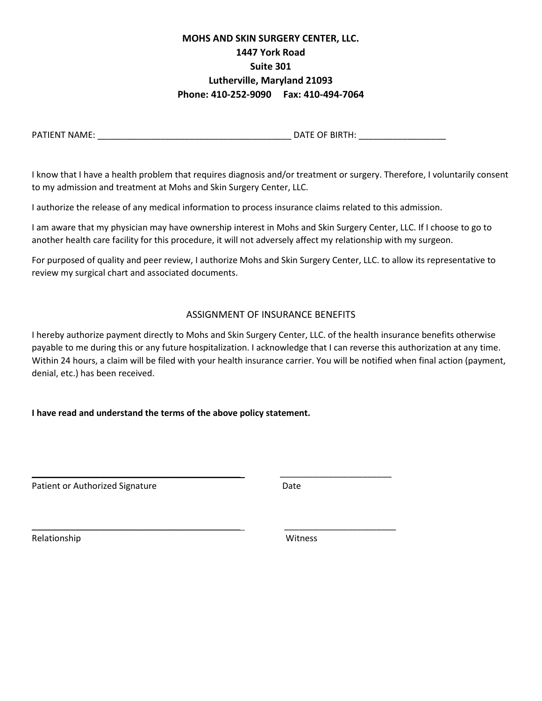# **MOHS AND SKIN SURGERY CENTER, LLC. 1447 York Road Suite 301 Lutherville, Maryland 21093 Phone: 410-252-9090 Fax: 410-494-7064**

PATIENT NAME: \_\_\_\_\_\_\_\_\_\_\_\_\_\_\_\_\_\_\_\_\_\_\_\_\_\_\_\_\_\_\_\_\_\_\_\_\_\_\_\_ DATE OF BIRTH: \_\_\_\_\_\_\_\_\_\_\_\_\_\_\_\_\_\_

I know that I have a health problem that requires diagnosis and/or treatment or surgery. Therefore, I voluntarily consent to my admission and treatment at Mohs and Skin Surgery Center, LLC.

I authorize the release of any medical information to process insurance claims related to this admission.

I am aware that my physician may have ownership interest in Mohs and Skin Surgery Center, LLC. If I choose to go to another health care facility for this procedure, it will not adversely affect my relationship with my surgeon.

For purposed of quality and peer review, I authorize Mohs and Skin Surgery Center, LLC. to allow its representative to review my surgical chart and associated documents.

# ASSIGNMENT OF INSURANCE BENEFITS

I hereby authorize payment directly to Mohs and Skin Surgery Center, LLC. of the health insurance benefits otherwise payable to me during this or any future hospitalization. I acknowledge that I can reverse this authorization at any time. Within 24 hours, a claim will be filed with your health insurance carrier. You will be notified when final action (payment, denial, etc.) has been received.

# **I have read and understand the terms of the above policy statement.**

\_\_\_\_\_\_\_\_\_\_\_\_\_\_\_\_\_\_\_\_\_\_\_\_\_\_\_\_\_\_\_\_\_\_\_\_\_\_\_\_\_\_\_ \_\_\_\_\_\_\_\_\_\_\_\_\_\_\_\_\_\_\_\_\_\_\_

\_\_\_\_\_\_\_\_\_\_\_\_\_\_\_\_\_\_\_\_\_\_\_\_\_\_\_\_\_\_\_\_\_\_\_\_\_\_\_\_\_\_\_ \_\_\_\_\_\_\_\_\_\_\_\_\_\_\_\_\_\_\_\_\_\_\_

Patient or Authorized Signature **Date** Date

Relationship Witness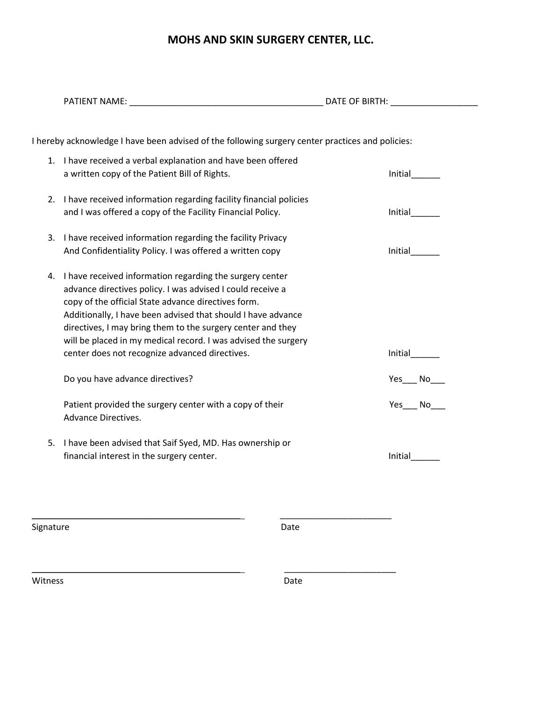# **MOHS AND SKIN SURGERY CENTER, LLC.**

|           | I hereby acknowledge I have been advised of the following surgery center practices and policies:                                                                                                                                                                                                                                                                                                                                 |      |          |
|-----------|----------------------------------------------------------------------------------------------------------------------------------------------------------------------------------------------------------------------------------------------------------------------------------------------------------------------------------------------------------------------------------------------------------------------------------|------|----------|
|           | 1. I have received a verbal explanation and have been offered<br>a written copy of the Patient Bill of Rights.                                                                                                                                                                                                                                                                                                                   |      | Initial  |
|           | 2. I have received information regarding facility financial policies<br>and I was offered a copy of the Facility Financial Policy.                                                                                                                                                                                                                                                                                               |      | Initial  |
|           | 3. I have received information regarding the facility Privacy<br>And Confidentiality Policy. I was offered a written copy                                                                                                                                                                                                                                                                                                        |      | Initial  |
| 4.        | I have received information regarding the surgery center<br>advance directives policy. I was advised I could receive a<br>copy of the official State advance directives form.<br>Additionally, I have been advised that should I have advance<br>directives, I may bring them to the surgery center and they<br>will be placed in my medical record. I was advised the surgery<br>center does not recognize advanced directives. |      | Initial  |
|           | Do you have advance directives?                                                                                                                                                                                                                                                                                                                                                                                                  |      | $Yes$ No |
|           | Patient provided the surgery center with a copy of their<br><b>Advance Directives.</b>                                                                                                                                                                                                                                                                                                                                           |      | $Yes$ No |
|           | 5. I have been advised that Saif Syed, MD. Has ownership or<br>financial interest in the surgery center.                                                                                                                                                                                                                                                                                                                         |      | Initial  |
|           |                                                                                                                                                                                                                                                                                                                                                                                                                                  |      |          |
| Signature |                                                                                                                                                                                                                                                                                                                                                                                                                                  | Date |          |
| Witness   |                                                                                                                                                                                                                                                                                                                                                                                                                                  | Date |          |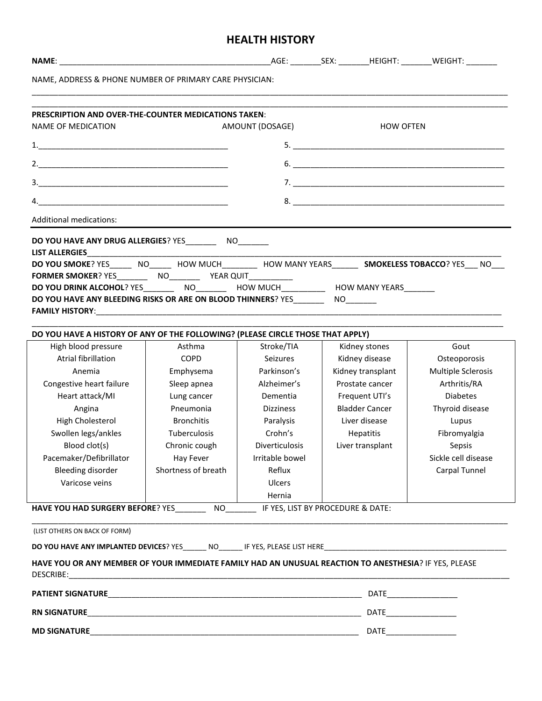# **HEALTH HISTORY**

| AMOUNT (DOSAGE)<br><b>HOW OFTEN</b><br>6.<br><b>DO YOU SMOKE?</b> YES NO HOW MUCH HOW MANY YEARS <b>SMOKELESS TOBACCO?</b> YES NO<br>Gout<br>High blood pressure<br>Asthma<br>Stroke/TIA<br>Kidney stones<br>Atrial fibrillation<br><b>COPD</b><br>Kidney disease<br><b>Seizures</b><br>Osteoporosis<br>Parkinson's<br>Kidney transplant<br>Multiple Sclerosis<br>Emphysema<br>Anemia<br>Congestive heart failure<br>Alzheimer's<br>Arthritis/RA<br>Sleep apnea<br>Prostate cancer<br>Heart attack/MI<br><b>Diabetes</b><br>Lung cancer<br>Dementia<br>Frequent UTI's<br><b>Bladder Cancer</b><br>Thyroid disease<br>Angina<br>Pneumonia<br><b>Dizziness</b><br>High Cholesterol<br><b>Bronchitis</b><br>Liver disease<br>Paralysis<br>Lupus<br>Swollen legs/ankles<br>Tuberculosis<br>Crohn's<br><b>Hepatitis</b><br>Fibromyalgia<br>Blood clot(s)<br><b>Diverticulosis</b><br>Liver transplant<br>Chronic cough<br>Sepsis<br>Pacemaker/Defibrillator<br>Hay Fever<br>Sickle cell disease<br>Irritable bowel<br>Bleeding disorder<br>Shortness of breath<br>Carpal Tunnel<br>Reflux<br>Varicose veins<br>Ulcers<br>Hernia | NAME, ADDRESS & PHONE NUMBER OF PRIMARY CARE PHYSICIAN:<br><b>PRESCRIPTION AND OVER-THE-COUNTER MEDICATIONS TAKEN:</b><br><b>NAME OF MEDICATION</b><br><b>Additional medications:</b><br>DO YOU HAVE ANY DRUG ALLERGIES? YES___________ NO_________<br><b>LIST ALLERGIES</b><br>DO YOU DRINK ALCOHOL? YES__________ NO_________ HOW MUCH___________ HOW MANY YEARS_______<br>DO YOU HAVE ANY BLEEDING RISKS OR ARE ON BLOOD THINNERS? YES<br>DO YOU HAVE A HISTORY OF ANY OF THE FOLLOWING? (PLEASE CIRCLE THOSE THAT APPLY)<br>HAVE YOU HAD SURGERY BEFORE? YES__________ NO__________ IF YES, LIST BY PROCEDURE & DATE:<br>(LIST OTHERS ON BACK OF FORM)<br>HAVE YOU OR ANY MEMBER OF YOUR IMMEDIATE FAMILY HAD AN UNUSUAL REACTION TO ANESTHESIA? IF YES, PLEASE<br><b>MD SIGNATURE</b> |  |  |  |
|----------------------------------------------------------------------------------------------------------------------------------------------------------------------------------------------------------------------------------------------------------------------------------------------------------------------------------------------------------------------------------------------------------------------------------------------------------------------------------------------------------------------------------------------------------------------------------------------------------------------------------------------------------------------------------------------------------------------------------------------------------------------------------------------------------------------------------------------------------------------------------------------------------------------------------------------------------------------------------------------------------------------------------------------------------------------------------------------------------------------------|--------------------------------------------------------------------------------------------------------------------------------------------------------------------------------------------------------------------------------------------------------------------------------------------------------------------------------------------------------------------------------------------------------------------------------------------------------------------------------------------------------------------------------------------------------------------------------------------------------------------------------------------------------------------------------------------------------------------------------------------------------------------------------------------|--|--|--|
|                                                                                                                                                                                                                                                                                                                                                                                                                                                                                                                                                                                                                                                                                                                                                                                                                                                                                                                                                                                                                                                                                                                            |                                                                                                                                                                                                                                                                                                                                                                                                                                                                                                                                                                                                                                                                                                                                                                                            |  |  |  |
|                                                                                                                                                                                                                                                                                                                                                                                                                                                                                                                                                                                                                                                                                                                                                                                                                                                                                                                                                                                                                                                                                                                            |                                                                                                                                                                                                                                                                                                                                                                                                                                                                                                                                                                                                                                                                                                                                                                                            |  |  |  |
|                                                                                                                                                                                                                                                                                                                                                                                                                                                                                                                                                                                                                                                                                                                                                                                                                                                                                                                                                                                                                                                                                                                            |                                                                                                                                                                                                                                                                                                                                                                                                                                                                                                                                                                                                                                                                                                                                                                                            |  |  |  |
|                                                                                                                                                                                                                                                                                                                                                                                                                                                                                                                                                                                                                                                                                                                                                                                                                                                                                                                                                                                                                                                                                                                            |                                                                                                                                                                                                                                                                                                                                                                                                                                                                                                                                                                                                                                                                                                                                                                                            |  |  |  |
|                                                                                                                                                                                                                                                                                                                                                                                                                                                                                                                                                                                                                                                                                                                                                                                                                                                                                                                                                                                                                                                                                                                            |                                                                                                                                                                                                                                                                                                                                                                                                                                                                                                                                                                                                                                                                                                                                                                                            |  |  |  |
|                                                                                                                                                                                                                                                                                                                                                                                                                                                                                                                                                                                                                                                                                                                                                                                                                                                                                                                                                                                                                                                                                                                            |                                                                                                                                                                                                                                                                                                                                                                                                                                                                                                                                                                                                                                                                                                                                                                                            |  |  |  |
|                                                                                                                                                                                                                                                                                                                                                                                                                                                                                                                                                                                                                                                                                                                                                                                                                                                                                                                                                                                                                                                                                                                            |                                                                                                                                                                                                                                                                                                                                                                                                                                                                                                                                                                                                                                                                                                                                                                                            |  |  |  |
|                                                                                                                                                                                                                                                                                                                                                                                                                                                                                                                                                                                                                                                                                                                                                                                                                                                                                                                                                                                                                                                                                                                            |                                                                                                                                                                                                                                                                                                                                                                                                                                                                                                                                                                                                                                                                                                                                                                                            |  |  |  |
|                                                                                                                                                                                                                                                                                                                                                                                                                                                                                                                                                                                                                                                                                                                                                                                                                                                                                                                                                                                                                                                                                                                            |                                                                                                                                                                                                                                                                                                                                                                                                                                                                                                                                                                                                                                                                                                                                                                                            |  |  |  |
|                                                                                                                                                                                                                                                                                                                                                                                                                                                                                                                                                                                                                                                                                                                                                                                                                                                                                                                                                                                                                                                                                                                            |                                                                                                                                                                                                                                                                                                                                                                                                                                                                                                                                                                                                                                                                                                                                                                                            |  |  |  |
|                                                                                                                                                                                                                                                                                                                                                                                                                                                                                                                                                                                                                                                                                                                                                                                                                                                                                                                                                                                                                                                                                                                            |                                                                                                                                                                                                                                                                                                                                                                                                                                                                                                                                                                                                                                                                                                                                                                                            |  |  |  |
|                                                                                                                                                                                                                                                                                                                                                                                                                                                                                                                                                                                                                                                                                                                                                                                                                                                                                                                                                                                                                                                                                                                            |                                                                                                                                                                                                                                                                                                                                                                                                                                                                                                                                                                                                                                                                                                                                                                                            |  |  |  |
|                                                                                                                                                                                                                                                                                                                                                                                                                                                                                                                                                                                                                                                                                                                                                                                                                                                                                                                                                                                                                                                                                                                            |                                                                                                                                                                                                                                                                                                                                                                                                                                                                                                                                                                                                                                                                                                                                                                                            |  |  |  |
|                                                                                                                                                                                                                                                                                                                                                                                                                                                                                                                                                                                                                                                                                                                                                                                                                                                                                                                                                                                                                                                                                                                            |                                                                                                                                                                                                                                                                                                                                                                                                                                                                                                                                                                                                                                                                                                                                                                                            |  |  |  |
|                                                                                                                                                                                                                                                                                                                                                                                                                                                                                                                                                                                                                                                                                                                                                                                                                                                                                                                                                                                                                                                                                                                            |                                                                                                                                                                                                                                                                                                                                                                                                                                                                                                                                                                                                                                                                                                                                                                                            |  |  |  |
|                                                                                                                                                                                                                                                                                                                                                                                                                                                                                                                                                                                                                                                                                                                                                                                                                                                                                                                                                                                                                                                                                                                            |                                                                                                                                                                                                                                                                                                                                                                                                                                                                                                                                                                                                                                                                                                                                                                                            |  |  |  |
|                                                                                                                                                                                                                                                                                                                                                                                                                                                                                                                                                                                                                                                                                                                                                                                                                                                                                                                                                                                                                                                                                                                            |                                                                                                                                                                                                                                                                                                                                                                                                                                                                                                                                                                                                                                                                                                                                                                                            |  |  |  |
|                                                                                                                                                                                                                                                                                                                                                                                                                                                                                                                                                                                                                                                                                                                                                                                                                                                                                                                                                                                                                                                                                                                            |                                                                                                                                                                                                                                                                                                                                                                                                                                                                                                                                                                                                                                                                                                                                                                                            |  |  |  |
|                                                                                                                                                                                                                                                                                                                                                                                                                                                                                                                                                                                                                                                                                                                                                                                                                                                                                                                                                                                                                                                                                                                            |                                                                                                                                                                                                                                                                                                                                                                                                                                                                                                                                                                                                                                                                                                                                                                                            |  |  |  |
|                                                                                                                                                                                                                                                                                                                                                                                                                                                                                                                                                                                                                                                                                                                                                                                                                                                                                                                                                                                                                                                                                                                            |                                                                                                                                                                                                                                                                                                                                                                                                                                                                                                                                                                                                                                                                                                                                                                                            |  |  |  |
|                                                                                                                                                                                                                                                                                                                                                                                                                                                                                                                                                                                                                                                                                                                                                                                                                                                                                                                                                                                                                                                                                                                            |                                                                                                                                                                                                                                                                                                                                                                                                                                                                                                                                                                                                                                                                                                                                                                                            |  |  |  |
|                                                                                                                                                                                                                                                                                                                                                                                                                                                                                                                                                                                                                                                                                                                                                                                                                                                                                                                                                                                                                                                                                                                            |                                                                                                                                                                                                                                                                                                                                                                                                                                                                                                                                                                                                                                                                                                                                                                                            |  |  |  |
|                                                                                                                                                                                                                                                                                                                                                                                                                                                                                                                                                                                                                                                                                                                                                                                                                                                                                                                                                                                                                                                                                                                            |                                                                                                                                                                                                                                                                                                                                                                                                                                                                                                                                                                                                                                                                                                                                                                                            |  |  |  |
|                                                                                                                                                                                                                                                                                                                                                                                                                                                                                                                                                                                                                                                                                                                                                                                                                                                                                                                                                                                                                                                                                                                            |                                                                                                                                                                                                                                                                                                                                                                                                                                                                                                                                                                                                                                                                                                                                                                                            |  |  |  |
|                                                                                                                                                                                                                                                                                                                                                                                                                                                                                                                                                                                                                                                                                                                                                                                                                                                                                                                                                                                                                                                                                                                            |                                                                                                                                                                                                                                                                                                                                                                                                                                                                                                                                                                                                                                                                                                                                                                                            |  |  |  |
|                                                                                                                                                                                                                                                                                                                                                                                                                                                                                                                                                                                                                                                                                                                                                                                                                                                                                                                                                                                                                                                                                                                            |                                                                                                                                                                                                                                                                                                                                                                                                                                                                                                                                                                                                                                                                                                                                                                                            |  |  |  |
|                                                                                                                                                                                                                                                                                                                                                                                                                                                                                                                                                                                                                                                                                                                                                                                                                                                                                                                                                                                                                                                                                                                            |                                                                                                                                                                                                                                                                                                                                                                                                                                                                                                                                                                                                                                                                                                                                                                                            |  |  |  |
|                                                                                                                                                                                                                                                                                                                                                                                                                                                                                                                                                                                                                                                                                                                                                                                                                                                                                                                                                                                                                                                                                                                            |                                                                                                                                                                                                                                                                                                                                                                                                                                                                                                                                                                                                                                                                                                                                                                                            |  |  |  |
|                                                                                                                                                                                                                                                                                                                                                                                                                                                                                                                                                                                                                                                                                                                                                                                                                                                                                                                                                                                                                                                                                                                            |                                                                                                                                                                                                                                                                                                                                                                                                                                                                                                                                                                                                                                                                                                                                                                                            |  |  |  |
|                                                                                                                                                                                                                                                                                                                                                                                                                                                                                                                                                                                                                                                                                                                                                                                                                                                                                                                                                                                                                                                                                                                            |                                                                                                                                                                                                                                                                                                                                                                                                                                                                                                                                                                                                                                                                                                                                                                                            |  |  |  |
|                                                                                                                                                                                                                                                                                                                                                                                                                                                                                                                                                                                                                                                                                                                                                                                                                                                                                                                                                                                                                                                                                                                            |                                                                                                                                                                                                                                                                                                                                                                                                                                                                                                                                                                                                                                                                                                                                                                                            |  |  |  |
|                                                                                                                                                                                                                                                                                                                                                                                                                                                                                                                                                                                                                                                                                                                                                                                                                                                                                                                                                                                                                                                                                                                            |                                                                                                                                                                                                                                                                                                                                                                                                                                                                                                                                                                                                                                                                                                                                                                                            |  |  |  |
|                                                                                                                                                                                                                                                                                                                                                                                                                                                                                                                                                                                                                                                                                                                                                                                                                                                                                                                                                                                                                                                                                                                            |                                                                                                                                                                                                                                                                                                                                                                                                                                                                                                                                                                                                                                                                                                                                                                                            |  |  |  |
|                                                                                                                                                                                                                                                                                                                                                                                                                                                                                                                                                                                                                                                                                                                                                                                                                                                                                                                                                                                                                                                                                                                            |                                                                                                                                                                                                                                                                                                                                                                                                                                                                                                                                                                                                                                                                                                                                                                                            |  |  |  |
|                                                                                                                                                                                                                                                                                                                                                                                                                                                                                                                                                                                                                                                                                                                                                                                                                                                                                                                                                                                                                                                                                                                            |                                                                                                                                                                                                                                                                                                                                                                                                                                                                                                                                                                                                                                                                                                                                                                                            |  |  |  |
|                                                                                                                                                                                                                                                                                                                                                                                                                                                                                                                                                                                                                                                                                                                                                                                                                                                                                                                                                                                                                                                                                                                            |                                                                                                                                                                                                                                                                                                                                                                                                                                                                                                                                                                                                                                                                                                                                                                                            |  |  |  |
|                                                                                                                                                                                                                                                                                                                                                                                                                                                                                                                                                                                                                                                                                                                                                                                                                                                                                                                                                                                                                                                                                                                            |                                                                                                                                                                                                                                                                                                                                                                                                                                                                                                                                                                                                                                                                                                                                                                                            |  |  |  |
|                                                                                                                                                                                                                                                                                                                                                                                                                                                                                                                                                                                                                                                                                                                                                                                                                                                                                                                                                                                                                                                                                                                            |                                                                                                                                                                                                                                                                                                                                                                                                                                                                                                                                                                                                                                                                                                                                                                                            |  |  |  |
|                                                                                                                                                                                                                                                                                                                                                                                                                                                                                                                                                                                                                                                                                                                                                                                                                                                                                                                                                                                                                                                                                                                            |                                                                                                                                                                                                                                                                                                                                                                                                                                                                                                                                                                                                                                                                                                                                                                                            |  |  |  |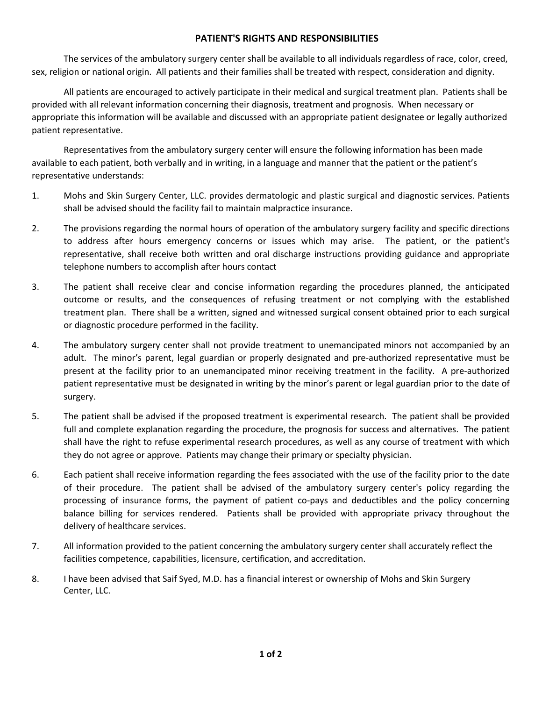# **PATIENT'S RIGHTS AND RESPONSIBILITIES**

The services of the ambulatory surgery center shall be available to all individuals regardless of race, color, creed, sex, religion or national origin. All patients and their families shall be treated with respect, consideration and dignity.

All patients are encouraged to actively participate in their medical and surgical treatment plan. Patients shall be provided with all relevant information concerning their diagnosis, treatment and prognosis. When necessary or appropriate this information will be available and discussed with an appropriate patient designatee or legally authorized patient representative.

Representatives from the ambulatory surgery center will ensure the following information has been made available to each patient, both verbally and in writing, in a language and manner that the patient or the patient's representative understands:

- 1. Mohs and Skin Surgery Center, LLC. provides dermatologic and plastic surgical and diagnostic services. Patients shall be advised should the facility fail to maintain malpractice insurance.
- 2. The provisions regarding the normal hours of operation of the ambulatory surgery facility and specific directions to address after hours emergency concerns or issues which may arise. The patient, or the patient's representative, shall receive both written and oral discharge instructions providing guidance and appropriate telephone numbers to accomplish after hours contact
- 3. The patient shall receive clear and concise information regarding the procedures planned, the anticipated outcome or results, and the consequences of refusing treatment or not complying with the established treatment plan. There shall be a written, signed and witnessed surgical consent obtained prior to each surgical or diagnostic procedure performed in the facility.
- 4. The ambulatory surgery center shall not provide treatment to unemancipated minors not accompanied by an adult. The minor's parent, legal guardian or properly designated and pre-authorized representative must be present at the facility prior to an unemancipated minor receiving treatment in the facility. A pre-authorized patient representative must be designated in writing by the minor's parent or legal guardian prior to the date of surgery.
- 5. The patient shall be advised if the proposed treatment is experimental research. The patient shall be provided full and complete explanation regarding the procedure, the prognosis for success and alternatives. The patient shall have the right to refuse experimental research procedures, as well as any course of treatment with which they do not agree or approve. Patients may change their primary or specialty physician.
- 6. Each patient shall receive information regarding the fees associated with the use of the facility prior to the date of their procedure. The patient shall be advised of the ambulatory surgery center's policy regarding the processing of insurance forms, the payment of patient co-pays and deductibles and the policy concerning balance billing for services rendered. Patients shall be provided with appropriate privacy throughout the delivery of healthcare services.
- 7. All information provided to the patient concerning the ambulatory surgery center shall accurately reflect the facilities competence, capabilities, licensure, certification, and accreditation.
- 8. I have been advised that Saif Syed, M.D. has a financial interest or ownership of Mohs and Skin Surgery Center, LLC.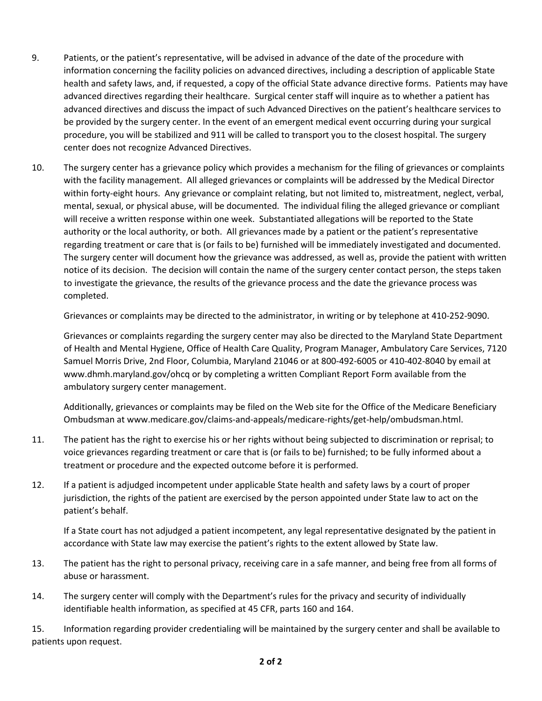- 9. Patients, or the patient's representative, will be advised in advance of the date of the procedure with information concerning the facility policies on advanced directives, including a description of applicable State health and safety laws, and, if requested, a copy of the official State advance directive forms. Patients may have advanced directives regarding their healthcare. Surgical center staff will inquire as to whether a patient has advanced directives and discuss the impact of such Advanced Directives on the patient's healthcare services to be provided by the surgery center. In the event of an emergent medical event occurring during your surgical procedure, you will be stabilized and 911 will be called to transport you to the closest hospital. The surgery center does not recognize Advanced Directives.
- 10. The surgery center has a grievance policy which provides a mechanism for the filing of grievances or complaints with the facility management. All alleged grievances or complaints will be addressed by the Medical Director within forty-eight hours. Any grievance or complaint relating, but not limited to, mistreatment, neglect, verbal, mental, sexual, or physical abuse, will be documented. The individual filing the alleged grievance or compliant will receive a written response within one week. Substantiated allegations will be reported to the State authority or the local authority, or both. All grievances made by a patient or the patient's representative regarding treatment or care that is (or fails to be) furnished will be immediately investigated and documented. The surgery center will document how the grievance was addressed, as well as, provide the patient with written notice of its decision. The decision will contain the name of the surgery center contact person, the steps taken to investigate the grievance, the results of the grievance process and the date the grievance process was completed.

Grievances or complaints may be directed to the administrator, in writing or by telephone at 410-252-9090.

Grievances or complaints regarding the surgery center may also be directed to the Maryland State Department of Health and Mental Hygiene, Office of Health Care Quality, Program Manager, Ambulatory Care Services, 7120 Samuel Morris Drive, 2nd Floor, Columbia, Maryland 21046 or at 800-492-6005 or 410-402-8040 by email at www.dhmh.maryland.gov/ohcq or by completing a written Compliant Report Form available from the ambulatory surgery center management.

Additionally, grievances or complaints may be filed on the Web site for the Office of the Medicare Beneficiary Ombudsman at www.medicare.gov/claims-and-appeals/medicare-rights/get-help/ombudsman.html.

- 11. The patient has the right to exercise his or her rights without being subjected to discrimination or reprisal; to voice grievances regarding treatment or care that is (or fails to be) furnished; to be fully informed about a treatment or procedure and the expected outcome before it is performed.
- 12. If a patient is adjudged incompetent under applicable State health and safety laws by a court of proper jurisdiction, the rights of the patient are exercised by the person appointed under State law to act on the patient's behalf.

If a State court has not adjudged a patient incompetent, any legal representative designated by the patient in accordance with State law may exercise the patient's rights to the extent allowed by State law.

- 13. The patient has the right to personal privacy, receiving care in a safe manner, and being free from all forms of abuse or harassment.
- 14. The surgery center will comply with the Department's rules for the privacy and security of individually identifiable health information, as specified at 45 CFR, parts 160 and 164.

15. Information regarding provider credentialing will be maintained by the surgery center and shall be available to patients upon request.